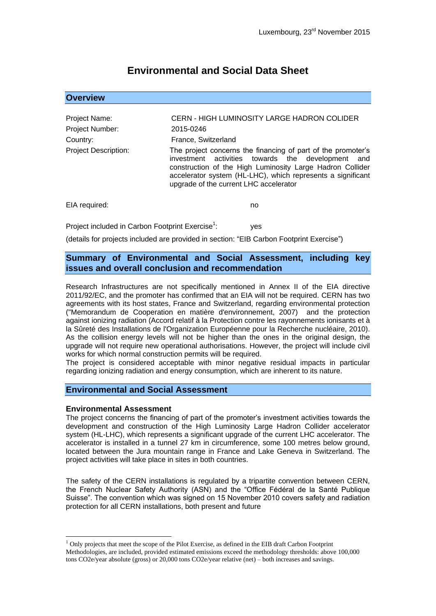# **Environmental and Social Data Sheet**

## **Overview** Project Name: CERN - HIGH LUMINOSITY LARGE HADRON COLIDER Project Number: 2015-0246 Country: France, Switzerland Project Description: The project concerns the financing of part of the promoter's investment activities towards the development and construction of the High Luminosity Large Hadron Collider accelerator system (HL-LHC), which represents a significant upgrade of the current LHC accelerator

EIA required: no

Project included in Carbon Footprint Exercise<sup>1</sup>: : yes

(details for projects included are provided in section: "EIB Carbon Footprint Exercise")

### **Summary of Environmental and Social Assessment, including key issues and overall conclusion and recommendation**

Research Infrastructures are not specifically mentioned in Annex II of the EIA directive 2011/92/EC, and the promoter has confirmed that an EIA will not be required. CERN has two agreements with its host states, France and Switzerland, regarding environmental protection ("Memorandum de Cooperation en matière d'environnement, 2007) and the protection against ionizing radiation (Accord relatif à la Protection contre les rayonnements ionisants et à la Sûreté des Installations de l'Organization Européenne pour la Recherche nucléaire, 2010). As the collision energy levels will not be higher than the ones in the original design, the upgrade will not require new operational authorisations. However, the project will include civil works for which normal construction permits will be required.

The project is considered acceptable with minor negative residual impacts in particular regarding ionizing radiation and energy consumption, which are inherent to its nature.

#### **Environmental and Social Assessment**

#### **Environmental Assessment**

<u>.</u>

The project concerns the financing of part of the promoter's investment activities towards the development and construction of the High Luminosity Large Hadron Collider accelerator system (HL-LHC), which represents a significant upgrade of the current LHC accelerator. The accelerator is installed in a tunnel 27 km in circumference, some 100 metres below ground, located between the Jura mountain range in France and Lake Geneva in Switzerland. The project activities will take place in sites in both countries.

The safety of the CERN installations is regulated by a tripartite convention between CERN, the French Nuclear Safety Authority (ASN) and the "Office Fédéral de la Santé Publique Suisse". The convention which was signed on 15 November 2010 covers safety and radiation protection for all CERN installations, both present and future

 $<sup>1</sup>$  Only projects that meet the scope of the Pilot Exercise, as defined in the EIB draft Carbon Footprint</sup> Methodologies, are included, provided estimated emissions exceed the methodology thresholds: above 100,000 tons CO2e/year absolute (gross) or 20,000 tons CO2e/year relative (net) – both increases and savings.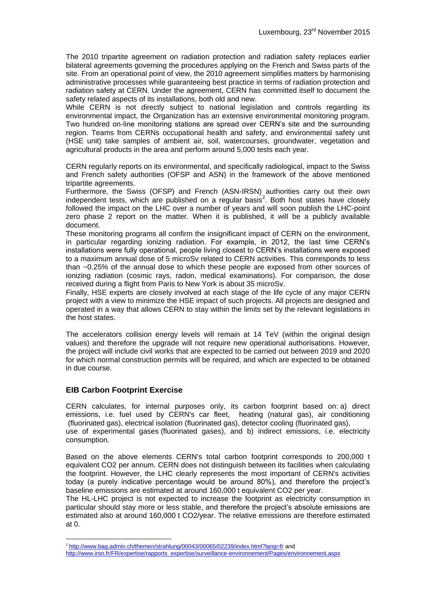The 2010 tripartite agreement on radiation protection and radiation safety replaces earlier bilateral agreements governing the procedures applying on the French and Swiss parts of the site. From an operational point of view, the 2010 agreement simplifies matters by harmonising administrative processes while guaranteeing best practice in terms of radiation protection and radiation safety at CERN. Under the agreement, CERN has committed itself to document the safety related aspects of its installations, both old and new.

While CERN is not directly subject to national legislation and controls regarding its environmental impact, the Organization has an extensive environmental monitoring program. Two hundred on-line monitoring stations are spread over CERN's site and the surrounding region. Teams from CERNs occupational health and safety, and environmental safety unit (HSE unit) take samples of ambient air, soil, watercourses, groundwater, vegetation and agricultural products in the area and perform around 5,000 tests each year.

CERN regularly reports on its environmental, and specifically radiological, impact to the Swiss and French safety authorities (OFSP and ASN) in the framework of the above mentioned tripartite agreements.

Furthermore, the Swiss (OFSP) and French (ASN-IRSN) authorities carry out their own independent tests, which are published on a regular basis<sup>2</sup>. Both host states have closely followed the impact on the LHC over a number of years and will soon publish the LHC-point zero phase 2 report on the matter. When it is published, it will be a publicly available document.

These monitoring programs all confirm the insignificant impact of CERN on the environment, in particular regarding ionizing radiation. For example, in 2012, the last time CERN's installations were fully operational, people living closest to CERN's installations were exposed to a maximum annual dose of 5 microSv related to CERN activities. This corresponds to less than ~0.25% of the annual dose to which these people are exposed from other sources of ionizing radiation (cosmic rays, radon, medical examinations). For comparison, the dose received during a flight from Paris to New York is about 35 microSv.

Finally, HSE experts are closely involved at each stage of the life cycle of any major CERN project with a view to minimize the HSE impact of such projects. All projects are designed and operated in a way that allows CERN to stay within the limits set by the relevant legislations in the host states.

The accelerators collision energy levels will remain at 14 TeV (within the original design values) and therefore the upgrade will not require new operational authorisations. However, the project will include civil works that are expected to be carried out between 2019 and 2020 for which normal construction permits will be required, and which are expected to be obtained in due course.

### **EIB Carbon Footprint Exercise**

CERN calculates, for internal purposes only, its carbon footprint based on: a) direct emissions, i.e. fuel used by CERN's car fleet, heating (natural gas), air conditioning (fluorinated gas), electrical isolation (fluorinated gas), detector cooling (fluorinated gas), use of experimental gases (fluorinated gases), and b) indirect emissions, i.e. electricity consumption.

Based on the above elements CERN's total carbon footprint corresponds to 200,000 t equivalent CO2 per annum. CERN does not distinguish between its facilities when calculating the footprint. However, the LHC clearly represents the most important of CERN's activities today (a purely indicative percentage would be around 80%), and therefore the project's baseline emissions are estimated at around 160,000 t equivalent CO2 per year.

The HL-LHC project is not expected to increase the footprint as electricity consumption in particular should stay more or less stable, and therefore the project's absolute emissions are estimated also at around 160,000 t CO2/year. The relative emissions are therefore estimated at 0.

<sup>&</sup>lt;u>.</u> <sup>2</sup> <http://www.bag.admin.ch/themen/strahlung/00043/00065/02239/index.html?lang=fr> and

[http://www.irsn.fr/FR/expertise/rapports\\_expertise/surveillance-environnement/Pages/environnement.aspx](http://www.irsn.fr/FR/expertise/rapports_expertise/surveillance-environnement/Pages/environnement.aspx)